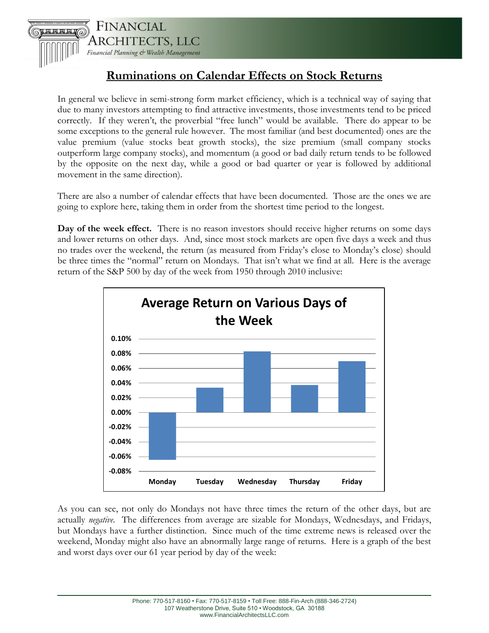

## **Ruminations on Calendar Effects on Stock Returns**

In general we believe in semi-strong form market efficiency, which is a technical way of saying that due to many investors attempting to find attractive investments, those investments tend to be priced correctly. If they weren't, the proverbial "free lunch" would be available. There do appear to be some exceptions to the general rule however. The most familiar (and best documented) ones are the value premium (value stocks beat growth stocks), the size premium (small company stocks outperform large company stocks), and momentum (a good or bad daily return tends to be followed by the opposite on the next day, while a good or bad quarter or year is followed by additional movement in the same direction).

There are also a number of calendar effects that have been documented. Those are the ones we are going to explore here, taking them in order from the shortest time period to the longest.

**Day of the week effect.** There is no reason investors should receive higher returns on some days and lower returns on other days. And, since most stock markets are open five days a week and thus no trades over the weekend, the return (as measured from Friday's close to Monday's close) should be three times the "normal" return on Mondays. That isn't what we find at all. Here is the average return of the S&P 500 by day of the week from 1950 through 2010 inclusive:



As you can see, not only do Mondays not have three times the return of the other days, but are actually *negative*. The differences from average are sizable for Mondays, Wednesdays, and Fridays, but Mondays have a further distinction. Since much of the time extreme news is released over the weekend, Monday might also have an abnormally large range of returns. Here is a graph of the best and worst days over our 61 year period by day of the week: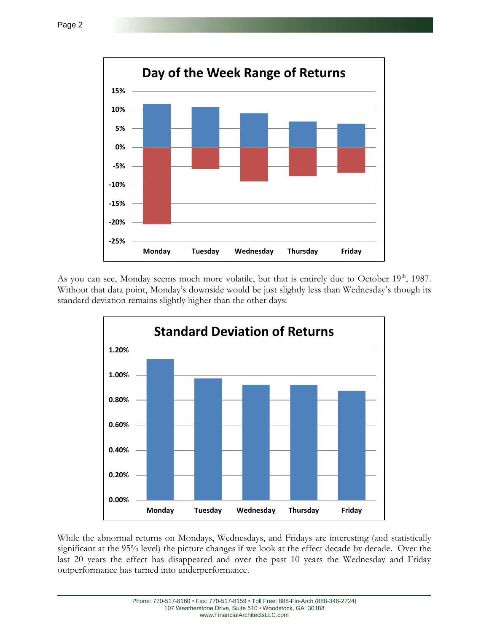

As you can see, Monday seems much more volatile, but that is entirely due to October  $19<sup>th</sup>$ , 1987. Without that data point, Monday's downside would be just slightly less than Wednesday's though its standard deviation remains slightly higher than the other days:



While the abnormal returns on Mondays, Wednesdays, and Fridays are interesting (and statistically significant at the 95% level) the picture changes if we look at the effect decade by decade. Over the last 20 years the effect has disappeared and over the past 10 years the Wednesday and Friday outperformance has turned into underperformance.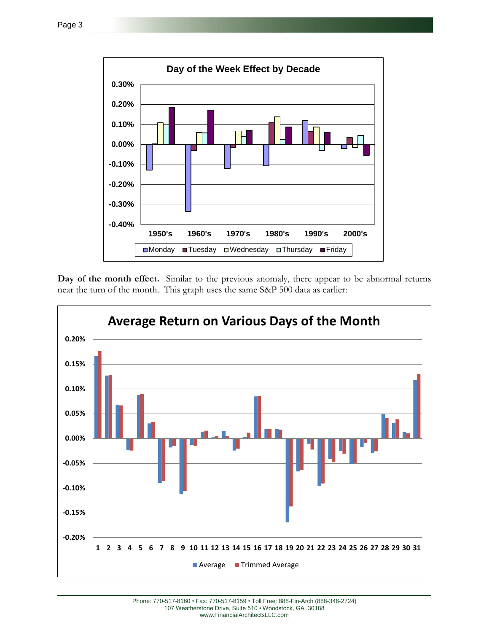

**Day of the month effect.** Similar to the previous anomaly, there appear to be abnormal returns near the turn of the month. This graph uses the same S&P 500 data as earlier:

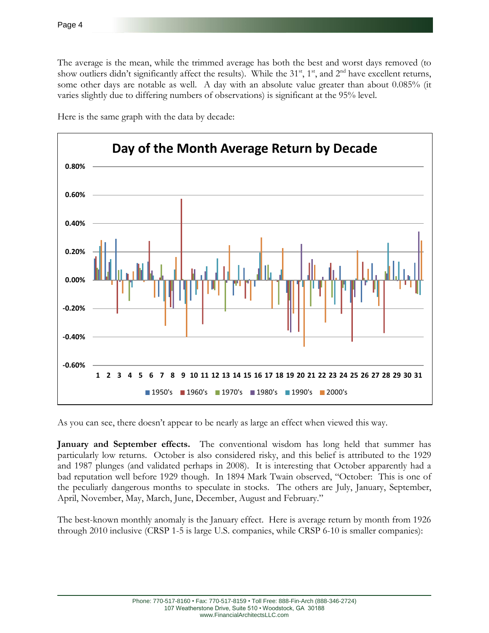The average is the mean, while the trimmed average has both the best and worst days removed (to show outliers didn't significantly affect the results). While the  $31<sup>st</sup>$ ,  $1<sup>st</sup>$ , and  $2<sup>nd</sup>$  have excellent returns, some other days are notable as well. A day with an absolute value greater than about 0.085% (it varies slightly due to differing numbers of observations) is significant at the 95% level.



Here is the same graph with the data by decade:

As you can see, there doesn't appear to be nearly as large an effect when viewed this way.

**January and September effects.** The conventional wisdom has long held that summer has particularly low returns. October is also considered risky, and this belief is attributed to the 1929 and 1987 plunges (and validated perhaps in 2008). It is interesting that October apparently had a bad reputation well before 1929 though. In 1894 Mark Twain observed, "October: This is one of the peculiarly dangerous months to speculate in stocks. The others are July, January, September, April, November, May, March, June, December, August and February."

The best-known monthly anomaly is the January effect. Here is average return by month from 1926 through 2010 inclusive (CRSP 1-5 is large U.S. companies, while CRSP 6-10 is smaller companies):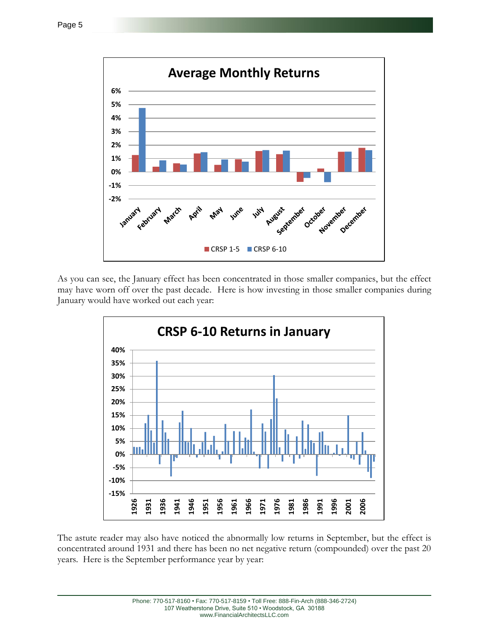

As you can see, the January effect has been concentrated in those smaller companies, but the effect may have worn off over the past decade. Here is how investing in those smaller companies during January would have worked out each year:



The astute reader may also have noticed the abnormally low returns in September, but the effect is concentrated around 1931 and there has been no net negative return (compounded) over the past 20 years. Here is the September performance year by year: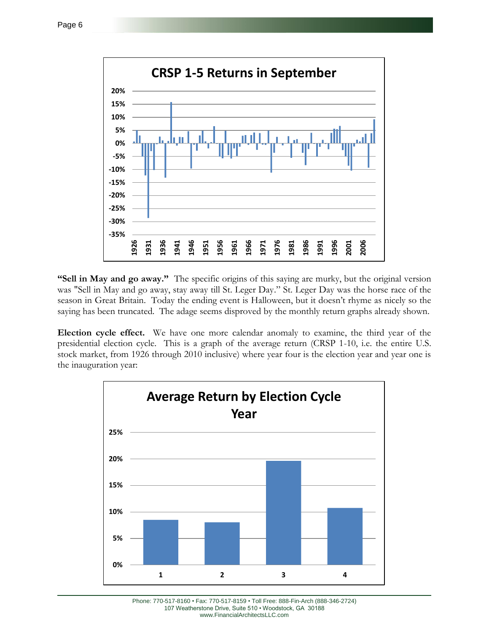

**"Sell in May and go away."** The specific origins of this saying are murky, but the original version was "Sell in May and go away, stay away till St. Leger Day." St. Leger Day was the horse race of the season in Great Britain. Today the ending event is Halloween, but it doesn't rhyme as nicely so the saying has been truncated. The adage seems disproved by the monthly return graphs already shown.

**Election cycle effect.** We have one more calendar anomaly to examine, the third year of the presidential election cycle. This is a graph of the average return (CRSP 1-10, i.e. the entire U.S. stock market, from 1926 through 2010 inclusive) where year four is the election year and year one is the inauguration year:



Phone: 770-517-8160 • Fax: 770-517-8159 • Toll Free: 888-Fin-Arch (888-346-2724) 107 Weatherstone Drive, Suite 510 • Woodstock, GA 30188 www.FinancialArchitectsLLC.com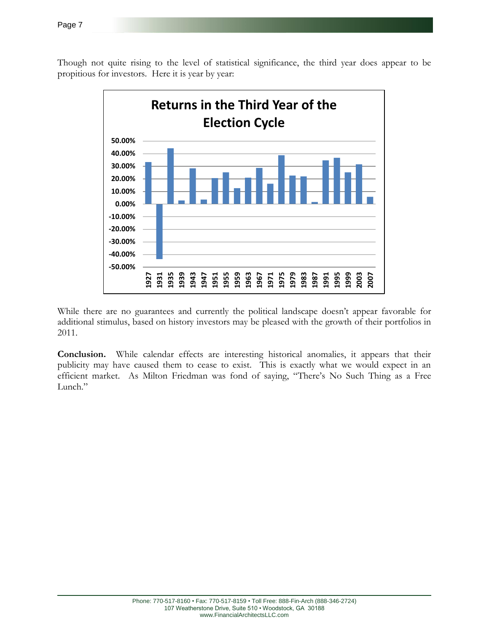Though not quite rising to the level of statistical significance, the third year does appear to be propitious for investors. Here it is year by year:



While there are no guarantees and currently the political landscape doesn't appear favorable for additional stimulus, based on history investors may be pleased with the growth of their portfolios in 2011.

**Conclusion.** While calendar effects are interesting historical anomalies, it appears that their publicity may have caused them to cease to exist. This is exactly what we would expect in an efficient market. As Milton Friedman was fond of saying, "There's No Such Thing as a Free Lunch."